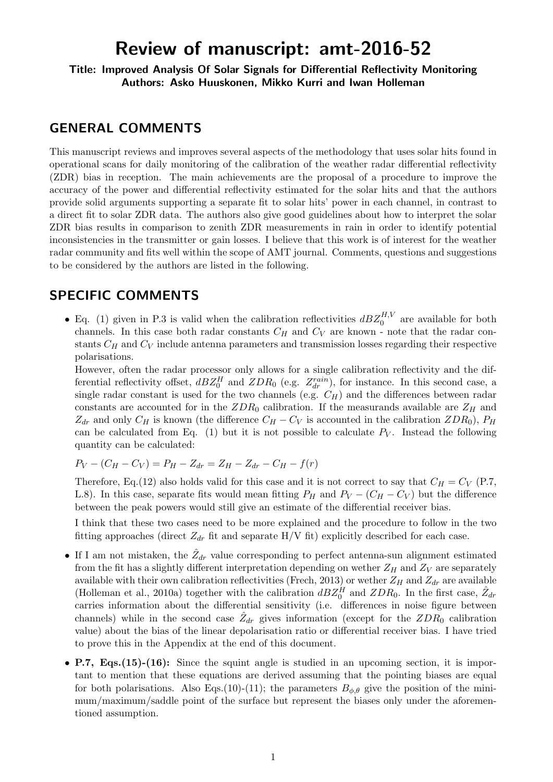# Review of manuscript: amt-2016-52

Title: Improved Analysis Of Solar Signals for Differential Reflectivity Monitoring Authors: Asko Huuskonen, Mikko Kurri and Iwan Holleman

### GENERAL COMMENTS

This manuscript reviews and improves several aspects of the methodology that uses solar hits found in operational scans for daily monitoring of the calibration of the weather radar differential reflectivity (ZDR) bias in reception. The main achievements are the proposal of a procedure to improve the accuracy of the power and differential reflectivity estimated for the solar hits and that the authors provide solid arguments supporting a separate fit to solar hits' power in each channel, in contrast to a direct fit to solar ZDR data. The authors also give good guidelines about how to interpret the solar ZDR bias results in comparison to zenith ZDR measurements in rain in order to identify potential inconsistencies in the transmitter or gain losses. I believe that this work is of interest for the weather radar community and fits well within the scope of AMT journal. Comments, questions and suggestions to be considered by the authors are listed in the following.

### SPECIFIC COMMENTS

• Eq. (1) given in P.3 is valid when the calibration reflectivities  $dBZ_0^{H,V}$  are available for both channels. In this case both radar constants  $C_H$  and  $C_V$  are known - note that the radar constants  $C_H$  and  $C_V$  include antenna parameters and transmission losses regarding their respective polarisations.

However, often the radar processor only allows for a single calibration reflectivity and the differential reflectivity offset,  $dBZ_0^H$  and  $ZDR_0$  (e.g.  $Z_{dr}^{rain}$ ), for instance. In this second case, a single radar constant is used for the two channels (e.g.  $C_H$ ) and the differences between radar constants are accounted for in the  $ZDR_0$  calibration. If the measurands available are  $Z_H$  and  $Z_{dr}$  and only  $C_H$  is known (the difference  $C_H - C_V$  is accounted in the calibration  $ZDR_0$ ),  $P_H$ can be calculated from Eq. (1) but it is not possible to calculate  $P_V$ . Instead the following quantity can be calculated:

$$
P_V - (C_H - C_V) = P_H - Z_{dr} = Z_H - Z_{dr} - C_H - f(r)
$$

Therefore, Eq.(12) also holds valid for this case and it is not correct to say that  $C_H = C_V$  (P.7, L.8). In this case, separate fits would mean fitting  $P_H$  and  $P_V - (C_H - C_V)$  but the difference between the peak powers would still give an estimate of the differential receiver bias.

I think that these two cases need to be more explained and the procedure to follow in the two fitting approaches (direct  $Z_{dr}$  fit and separate H/V fit) explicitly described for each case.

- If I am not mistaken, the  $\hat{Z}_{dr}$  value corresponding to perfect antenna-sun alignment estimated from the fit has a slightly different interpretation depending on wether  $Z_H$  and  $Z_V$  are separately available with their own calibration reflectivities (Frech, 2013) or wether  $Z_H$  and  $Z_{dr}$  are available (Holleman et al., 2010a) together with the calibration  $dBZ_0^H$  and  $ZDR_0$ . In the first case,  $\hat{Z}_{dr}$ carries information about the differential sensitivity (i.e. differences in noise figure between channels) while in the second case  $\hat{Z}_{dr}$  gives information (except for the  $ZDR_0$  calibration value) about the bias of the linear depolarisation ratio or differential receiver bias. I have tried to prove this in the Appendix at the end of this document.
- **P.7, Eqs.**(15)-(16): Since the squint angle is studied in an upcoming section, it is important to mention that these equations are derived assuming that the pointing biases are equal for both polarisations. Also Eqs.(10)-(11); the parameters  $B_{\phi,\theta}$  give the position of the minimum/maximum/saddle point of the surface but represent the biases only under the aforementioned assumption.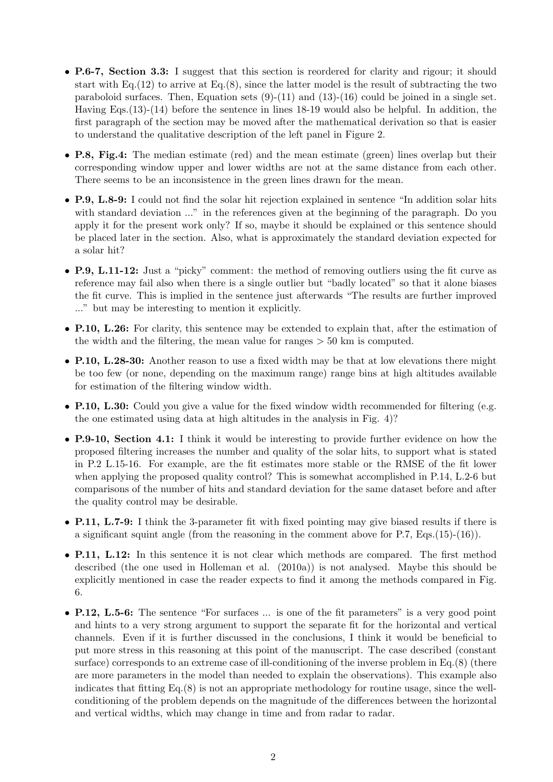- **P.6-7, Section 3.3:** I suggest that this section is reordered for clarity and rigour; it should start with Eq.  $(12)$  to arrive at Eq.  $(8)$ , since the latter model is the result of subtracting the two paraboloid surfaces. Then, Equation sets  $(9)-(11)$  and  $(13)-(16)$  could be joined in a single set. Having Eqs.(13)-(14) before the sentence in lines 18-19 would also be helpful. In addition, the first paragraph of the section may be moved after the mathematical derivation so that is easier to understand the qualitative description of the left panel in Figure 2.
- **P.8, Fig.4:** The median estimate (red) and the mean estimate (green) lines overlap but their corresponding window upper and lower widths are not at the same distance from each other. There seems to be an inconsistence in the green lines drawn for the mean.
- P.9, L.8-9: I could not find the solar hit rejection explained in sentence "In addition solar hits with standard deviation ..." in the references given at the beginning of the paragraph. Do you apply it for the present work only? If so, maybe it should be explained or this sentence should be placed later in the section. Also, what is approximately the standard deviation expected for a solar hit?
- P.9, L.11-12: Just a "picky" comment: the method of removing outliers using the fit curve as reference may fail also when there is a single outlier but "badly located" so that it alone biases the fit curve. This is implied in the sentence just afterwards "The results are further improved ..." but may be interesting to mention it explicitly.
- **P.10, L.26:** For clarity, this sentence may be extended to explain that, after the estimation of the width and the filtering, the mean value for ranges  $> 50 \text{ km}$  is computed.
- P.10, L.28-30: Another reason to use a fixed width may be that at low elevations there might be too few (or none, depending on the maximum range) range bins at high altitudes available for estimation of the filtering window width.
- **P.10, L.30:** Could you give a value for the fixed window width recommended for filtering (e.g. the one estimated using data at high altitudes in the analysis in Fig. 4)?
- **P.9-10, Section 4.1:** I think it would be interesting to provide further evidence on how the proposed filtering increases the number and quality of the solar hits, to support what is stated in P.2 L.15-16. For example, are the fit estimates more stable or the RMSE of the fit lower when applying the proposed quality control? This is somewhat accomplished in P.14, L.2-6 but comparisons of the number of hits and standard deviation for the same dataset before and after the quality control may be desirable.
- P.11, L.7-9: I think the 3-parameter fit with fixed pointing may give biased results if there is a significant squint angle (from the reasoning in the comment above for P.7, Eqs.(15)-(16)).
- P.11, L.12: In this sentence it is not clear which methods are compared. The first method described (the one used in Holleman et al. (2010a)) is not analysed. Maybe this should be explicitly mentioned in case the reader expects to find it among the methods compared in Fig. 6.
- P.12, L.5-6: The sentence "For surfaces ... is one of the fit parameters" is a very good point and hints to a very strong argument to support the separate fit for the horizontal and vertical channels. Even if it is further discussed in the conclusions, I think it would be beneficial to put more stress in this reasoning at this point of the manuscript. The case described (constant surface) corresponds to an extreme case of ill-conditioning of the inverse problem in Eq.(8) (there are more parameters in the model than needed to explain the observations). This example also indicates that fitting Eq.(8) is not an appropriate methodology for routine usage, since the wellconditioning of the problem depends on the magnitude of the differences between the horizontal and vertical widths, which may change in time and from radar to radar.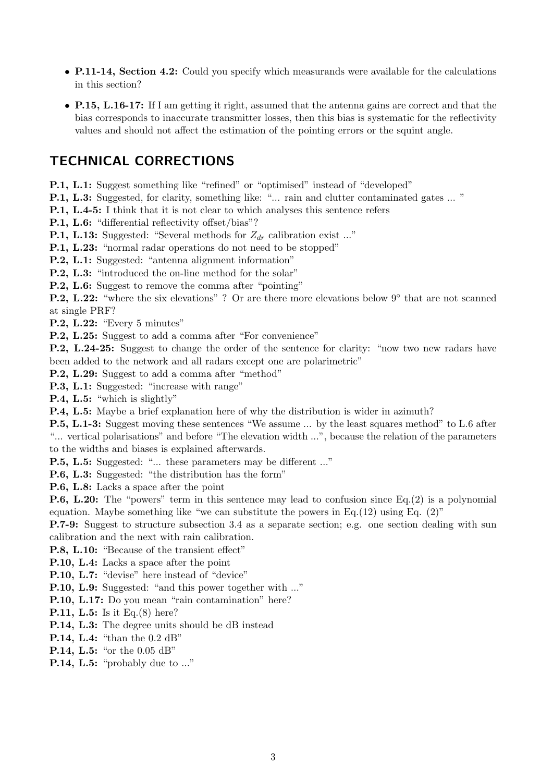- **P.11-14, Section 4.2:** Could you specify which measurands were available for the calculations in this section?
- P.15, L.16-17: If I am getting it right, assumed that the antenna gains are correct and that the bias corresponds to inaccurate transmitter losses, then this bias is systematic for the reflectivity values and should not affect the estimation of the pointing errors or the squint angle.

## TECHNICAL CORRECTIONS

**P.1, L.1:** Suggest something like "refined" or "optimised" instead of "developed"

- **P.1, L.3:** Suggested, for clarity, something like: "... rain and clutter contaminated gates ... "
- P.1, L.4-5: I think that it is not clear to which analyses this sentence refers

**P.1, L.6:** "differential reflectivity offset/bias"?

**P.1, L.13:** Suggested: "Several methods for  $Z_{dr}$  calibration exist ..."

P.1, L.23: "normal radar operations do not need to be stopped"

- P.2, L.1: Suggested: "antenna alignment information"
- P.2, L.3: "introduced the on-line method for the solar"
- P.2, L.6: Suggest to remove the comma after "pointing"

P.2, L.22: "where the six elevations"? Or are there more elevations below 9° that are not scanned at single PRF?

P.2, L.22: "Every 5 minutes"

P.2, L.25: Suggest to add a comma after "For convenience"

P.2, L.24-25: Suggest to change the order of the sentence for clarity: "now two new radars have been added to the network and all radars except one are polarimetric"

P.2, L.29: Suggest to add a comma after "method"

P.3, L.1: Suggested: "increase with range"

P.4, L.5: "which is slightly"

P.4, L.5: Maybe a brief explanation here of why the distribution is wider in azimuth?

**P.5, L.1-3:** Suggest moving these sentences "We assume ... by the least squares method" to L.6 after "... vertical polarisations" and before "The elevation width ...", because the relation of the parameters to the widths and biases is explained afterwards.

P.5, L.5: Suggested: "... these parameters may be different ..."

P.6, L.3: Suggested: "the distribution has the form"

P.6, L.8: Lacks a space after the point

P.6, L.20: The "powers" term in this sentence may lead to confusion since Eq.(2) is a polynomial equation. Maybe something like "we can substitute the powers in Eq.  $(12)$  using Eq.  $(2)$ "

P.7-9: Suggest to structure subsection 3.4 as a separate section; e.g. one section dealing with sun calibration and the next with rain calibration.

P.8, L.10: "Because of the transient effect"

P.10, L.4: Lacks a space after the point

P.10, L.7: "devise" here instead of "device"

P.10, L.9: Suggested: "and this power together with ..."

P.10, L.17: Do you mean "rain contamination" here?

**P.11, L.5:** Is it Eq.(8) here?

P.14, L.3: The degree units should be dB instead

P.14, L.4: "than the 0.2 dB"

P.14, L.5: "or the 0.05 dB"

**P.14, L.5:** "probably due to ..."